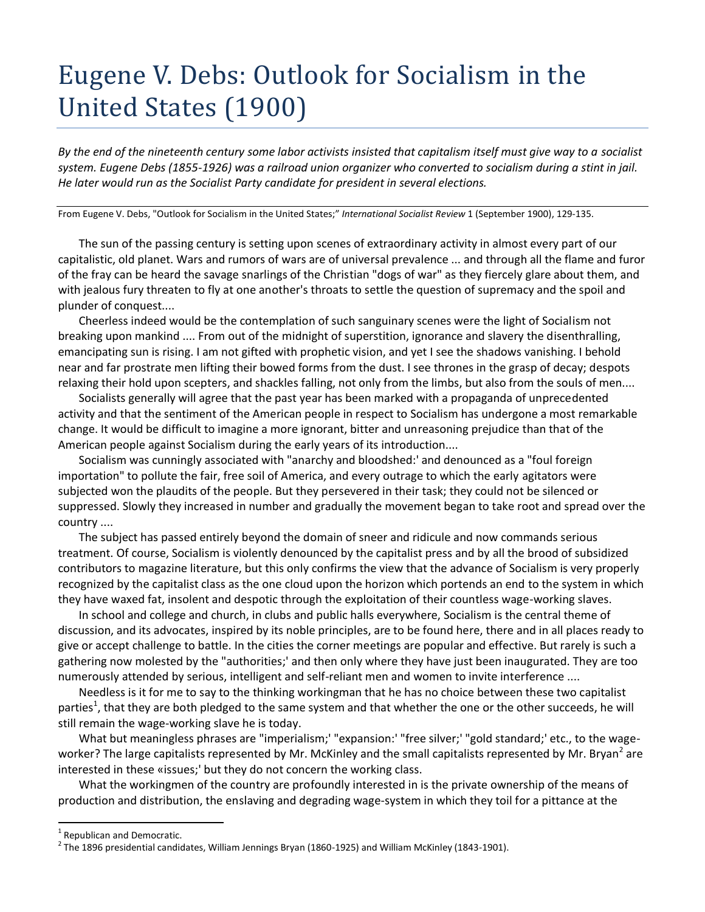## Eugene V. Debs: Outlook for Socialism in the United States (1900)

*By the end of the nineteenth century some labor activists insisted that capitalism itself must give way to a socialist system. Eugene Debs (1855-1926) was a railroad union organizer who converted to socialism during a stint in jail. He later would run as the Socialist Party candidate for president in several elections.* 

From Eugene V. Debs, "Outlook for Socialism in the United States;" *International Socialist Review* 1 (September 1900), 129-135.

The sun of the passing century is setting upon scenes of extraordinary activity in almost every part of our capitalistic, old planet. Wars and rumors of wars are of universal prevalence ... and through all the flame and furor of the fray can be heard the savage snarlings of the Christian "dogs of war" as they fiercely glare about them, and with jealous fury threaten to fly at one another's throats to settle the question of supremacy and the spoil and plunder of conquest....

Cheerless indeed would be the contemplation of such sanguinary scenes were the light of Socialism not breaking upon mankind .... From out of the midnight of superstition, ignorance and slavery the disenthralling, emancipating sun is rising. I am not gifted with prophetic vision, and yet I see the shadows vanishing. I behold near and far prostrate men lifting their bowed forms from the dust. I see thrones in the grasp of decay; despots relaxing their hold upon scepters, and shackles falling, not only from the limbs, but also from the souls of men....

Socialists generally will agree that the past year has been marked with a propaganda of unprecedented activity and that the sentiment of the American people in respect to Socialism has undergone a most remarkable change. It would be difficult to imagine a more ignorant, bitter and unreasoning prejudice than that of the American people against Socialism during the early years of its introduction....

Socialism was cunningly associated with "anarchy and bloodshed:' and denounced as a "foul foreign importation" to pollute the fair, free soil of America, and every outrage to which the early agitators were subjected won the plaudits of the people. But they persevered in their task; they could not be silenced or suppressed. Slowly they increased in number and gradually the movement began to take root and spread over the country ....

The subject has passed entirely beyond the domain of sneer and ridicule and now commands serious treatment. Of course, Socialism is violently denounced by the capitalist press and by all the brood of subsidized contributors to magazine literature, but this only confirms the view that the advance of Socialism is very properly recognized by the capitalist class as the one cloud upon the horizon which portends an end to the system in which they have waxed fat, insolent and despotic through the exploitation of their countless wage-working slaves.

In school and college and church, in clubs and public halls everywhere, Socialism is the central theme of discussion, and its advocates, inspired by its noble principles, are to be found here, there and in all places ready to give or accept challenge to battle. In the cities the corner meetings are popular and effective. But rarely is such a gathering now molested by the "authorities;' and then only where they have just been inaugurated. They are too numerously attended by serious, intelligent and self-reliant men and women to invite interference ....

Needless is it for me to say to the thinking workingman that he has no choice between these two capitalist parties<sup>1</sup>, that they are both pledged to the same system and that whether the one or the other succeeds, he will still remain the wage-working slave he is today.

What but meaningless phrases are "imperialism;' "expansion:' "free silver;' "gold standard;' etc., to the wageworker? The large capitalists represented by Mr. McKinley and the small capitalists represented by Mr. Bryan<sup>2</sup> are interested in these «issues;' but they do not concern the working class.

What the workingmen of the country are profoundly interested in is the private ownership of the means of production and distribution, the enslaving and degrading wage-system in which they toil for a pittance at the

 $\overline{a}$ 

<sup>1</sup> Republican and Democratic.

 $^2$  The 1896 presidential candidates, William Jennings Bryan (1860-1925) and William McKinley (1843-1901).